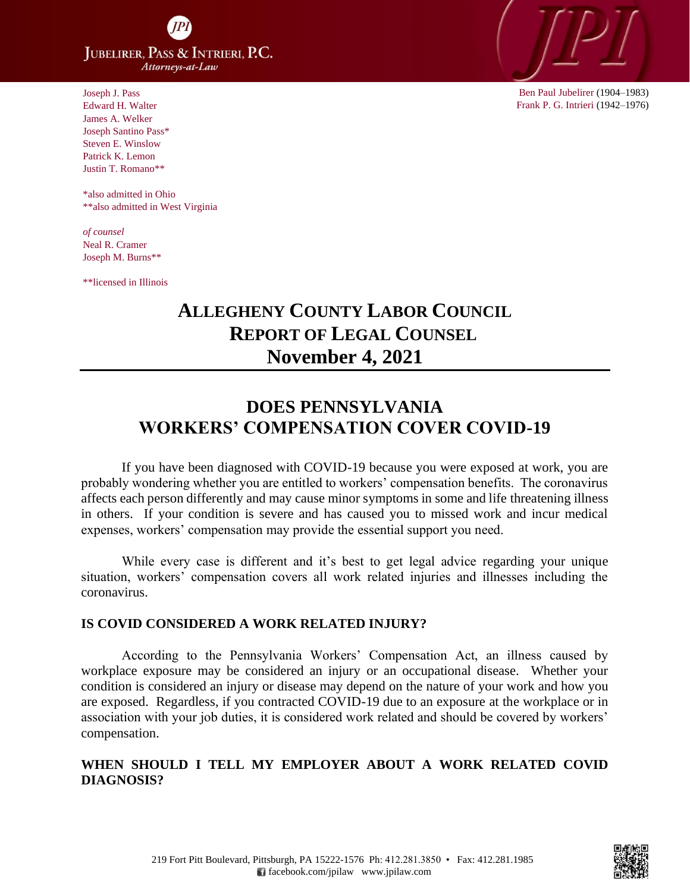**JUBELIRER, PASS & INTRIERI, P.C.** Attorneys-at-Law

Joseph J. Pass Edward H. Walter James A. Welker Joseph Santino Pass\* Steven E. Winslow Patrick K. Lemon Justin T. Romano\*\*

 \*also admitted in Ohio \*\*also admitted in West Virginia

*of counsel* Neal R. Cramer Joseph M. Burns\*\*

\*\*licensed in Illinois

# **ALLEGHENY COUNTY LABOR COUNCIL REPORT OF LEGAL COUNSEL November 4, 2021**

## **DOES PENNSYLVANIA WORKERS' COMPENSATION COVER COVID-19**

If you have been diagnosed with COVID-19 because you were exposed at work, you are probably wondering whether you are entitled to workers' compensation benefits. The coronavirus affects each person differently and may cause minor symptoms in some and life threatening illness in others. If your condition is severe and has caused you to missed work and incur medical expenses, workers' compensation may provide the essential support you need.

While every case is different and it's best to get legal advice regarding your unique situation, workers' compensation covers all work related injuries and illnesses including the coronavirus.

#### **IS COVID CONSIDERED A WORK RELATED INJURY?**

According to the Pennsylvania Workers' Compensation Act, an illness caused by workplace exposure may be considered an injury or an occupational disease. Whether your condition is considered an injury or disease may depend on the nature of your work and how you are exposed. Regardless, if you contracted COVID-19 due to an exposure at the workplace or in association with your job duties, it is considered work related and should be covered by workers' compensation.

### **WHEN SHOULD I TELL MY EMPLOYER ABOUT A WORK RELATED COVID DIAGNOSIS?**

Ben Paul Jubelirer (1904–1983) Frank P. G. Intrieri (1942–1976)